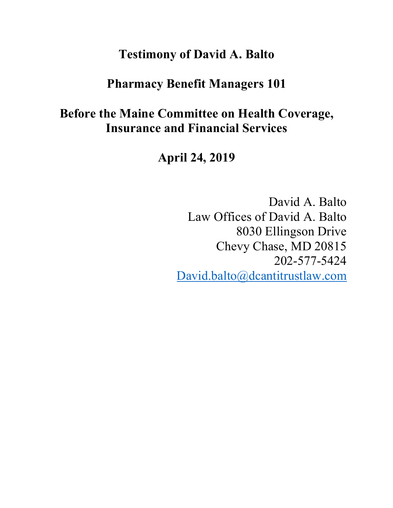## **Testimony of David A. Balto**

### **Pharmacy Benefit Managers 101**

# **Before the Maine Committee on Health Coverage, Insurance and Financial Services**

**April 24, 2019**

David A. Balto Law Offices of David A. Balto 8030 Ellingson Drive Chevy Chase, MD 20815 202-577-5424 David.balto@dcantitrustlaw.com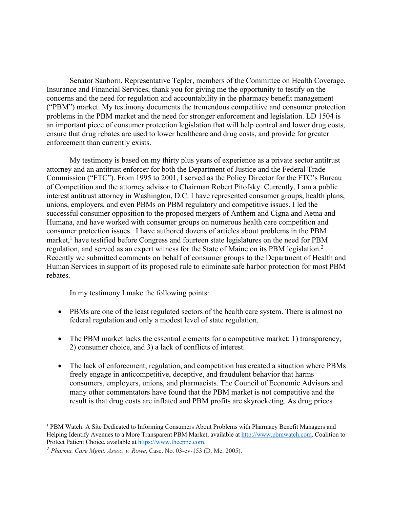Senator Sanborn, Representative Tepler, members of the Committee on Health Coverage, Insurance and Financial Services, thank you for giving me the opportunity to testify on the concerns and the need for regulation and accountability in the pharmacy benefit management ("PBM") market. My testimony documents the tremendous competitive and consumer protection problems in the PBM market and the need for stronger enforcement and legislation. LD 1504 is an important piece of consumer protection legislation that will help control and lower drug costs, ensure that drug rebates are used to lower healthcare and drug costs, and provide for greater enforcement than currently exists.

My testimony is based on my thirty plus years of experience as a private sector antitrust attorney and an antitrust enforcer for both the Department of Justice and the Federal Trade Commission ("FTC"). From 1995 to 2001, I served as the Policy Director for the FTC's Bureau of Competition and the attorney advisor to Chairman Robert Pitofsky. Currently, I am a public interest antitrust attorney in Washington, D.C. I have represented consumer groups, health plans, unions, employers, and even PBMs on PBM regulatory and competitive issues. I led the successful consumer opposition to the proposed mergers of Anthem and Cigna and Aetna and Humana, and have worked with consumer groups on numerous health care competition and consumer protection issues. I have authored dozens of articles about problems in the PBM market,<sup>1</sup> have testified before Congress and fourteen state legislatures on the need for PBM regulation, and served as an expert witness for the State of Maine on its PBM legislation.2 Recently we submitted comments on behalf of consumer groups to the Department of Health and Human Services in support of its proposed rule to eliminate safe harbor protection for most PBM rebates.

In my testimony I make the following points:

- PBMs are one of the least regulated sectors of the health care system. There is almost no federal regulation and only a modest level of state regulation.
- The PBM market lacks the essential elements for a competitive market: 1) transparency, 2) consumer choice, and 3) a lack of conflicts of interest.
- The lack of enforcement, regulation, and competition has created a situation where PBMs freely engage in anticompetitive, deceptive, and fraudulent behavior that harms consumers, employers, unions, and pharmacists. The Council of Economic Advisors and many other commentators have found that the PBM market is not competitive and the result is that drug costs are inflated and PBM profits are skyrocketing. As drug prices

 <sup>1</sup> PBM Watch: A Site Dedicated to Informing Consumers About Problems with Pharmacy Benefit Managers and Helping Identify Avenues to a More Transparent PBM Market, available at http://www.pbmwatch.com. Coalition to Protect Patient Choice, available at https://www.thecppc.com.

<sup>2</sup> *Pharma. Care Mgmt. Assoc. v. Rowe*, Case. No. 03-cv-153 (D. Me. 2005).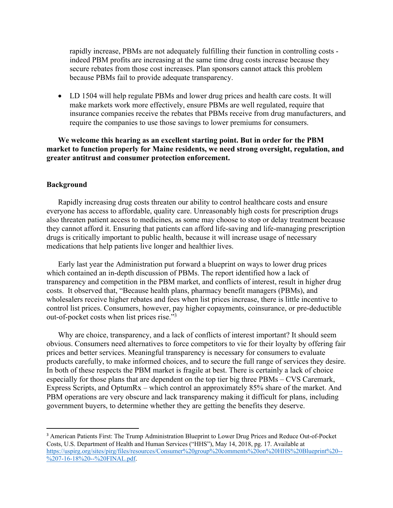rapidly increase, PBMs are not adequately fulfilling their function in controlling costs indeed PBM profits are increasing at the same time drug costs increase because they secure rebates from those cost increases. Plan sponsors cannot attack this problem because PBMs fail to provide adequate transparency.

• LD 1504 will help regulate PBMs and lower drug prices and health care costs. It will make markets work more effectively, ensure PBMs are well regulated, require that insurance companies receive the rebates that PBMs receive from drug manufacturers, and require the companies to use those savings to lower premiums for consumers.

**We welcome this hearing as an excellent starting point. But in order for the PBM market to function properly for Maine residents, we need strong oversight, regulation, and greater antitrust and consumer protection enforcement.** 

#### **Background**

Rapidly increasing drug costs threaten our ability to control healthcare costs and ensure everyone has access to affordable, quality care. Unreasonably high costs for prescription drugs also threaten patient access to medicines, as some may choose to stop or delay treatment because they cannot afford it. Ensuring that patients can afford life-saving and life-managing prescription drugs is critically important to public health, because it will increase usage of necessary medications that help patients live longer and healthier lives.

Early last year the Administration put forward a blueprint on ways to lower drug prices which contained an in-depth discussion of PBMs. The report identified how a lack of transparency and competition in the PBM market, and conflicts of interest, result in higher drug costs. It observed that, "Because health plans, pharmacy benefit managers (PBMs), and wholesalers receive higher rebates and fees when list prices increase, there is little incentive to control list prices. Consumers, however, pay higher copayments, coinsurance, or pre-deductible out-of-pocket costs when list prices rise."3

Why are choice, transparency, and a lack of conflicts of interest important? It should seem obvious. Consumers need alternatives to force competitors to vie for their loyalty by offering fair prices and better services. Meaningful transparency is necessary for consumers to evaluate products carefully, to make informed choices, and to secure the full range of services they desire. In both of these respects the PBM market is fragile at best. There is certainly a lack of choice especially for those plans that are dependent on the top tier big three PBMs – CVS Caremark, Express Scripts, and OptumRx – which control an approximately 85% share of the market. And PBM operations are very obscure and lack transparency making it difficult for plans, including government buyers, to determine whether they are getting the benefits they deserve.

<sup>&</sup>lt;sup>3</sup> American Patients First: The Trump Administration Blueprint to Lower Drug Prices and Reduce Out-of-Pocket Costs, U.S. Department of Health and Human Services ("HHS"), May 14, 2018, pg. 17. Available at https://uspirg.org/sites/pirg/files/resources/Consumer%20group%20comments%20on%20HHS%20Blueprint%20-- %207-16-18%20--%20FINAL.pdf.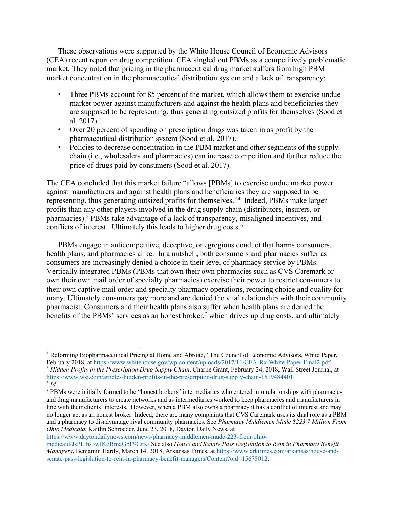These observations were supported by the White House Council of Economic Advisors (CEA) recent report on drug competition. CEA singled out PBMs as a competitively problematic market. They noted that pricing in the pharmaceutical drug market suffers from high PBM market concentration in the pharmaceutical distribution system and a lack of transparency:

- Three PBMs account for 85 percent of the market, which allows them to exercise undue market power against manufacturers and against the health plans and beneficiaries they are supposed to be representing, thus generating outsized profits for themselves (Sood et al. 2017).
- Over 20 percent of spending on prescription drugs was taken in as profit by the pharmaceutical distribution system (Sood et al. 2017).
- Policies to decrease concentration in the PBM market and other segments of the supply chain (i.e., wholesalers and pharmacies) can increase competition and further reduce the price of drugs paid by consumers (Sood et al. 2017).

The CEA concluded that this market failure "allows [PBMs] to exercise undue market power against manufacturers and against health plans and beneficiaries they are supposed to be representing, thus generating outsized profits for themselves."4 Indeed, PBMs make larger profits than any other players involved in the drug supply chain (distributors, insurers, or pharmacies).5 PBMs take advantage of a lack of transparency, misaligned incentives, and conflicts of interest. Ultimately this leads to higher drug costs.<sup>6</sup>

PBMs engage in anticompetitive, deceptive, or egregious conduct that harms consumers, health plans, and pharmacies alike. In a nutshell, both consumers and pharmacies suffer as consumers are increasingly denied a choice in their level of pharmacy service by PBMs. Vertically integrated PBMs (PBMs that own their own pharmacies such as CVS Caremark or own their own mail order of specialty pharmacies) exercise their power to restrict consumers to their own captive mail order and specialty pharmacy operations, reducing choice and quality for many. Ultimately consumers pay more and are denied the vital relationship with their community pharmacist. Consumers and their health plans also suffer when health plans are denied the benefits of the PBMs' services as an honest broker,<sup>7</sup> which drives up drug costs, and ultimately

 $\overline{a}$ 

https://www.daytondailynews.com/news/pharmacy-middlemen-made-223-from-ohio-

<sup>&</sup>lt;sup>4</sup> Reforming Biopharmaceutical Pricing at Home and Abroad," The Council of Economic Advisors, White Paper, February 2018, at https://www.whitehouse.gov/wp-content/uploads/2017/11/CEA-Rx-White-Paper-Final2.pdf. <sup>5</sup> Hidden Profits in the Prescription Drug Supply Chain, Charlie Grant, February 24, 2018, Wall Street Journal, at https://www.wsj.com/articles/hidden-profits-in-the-prescription-drug-supply-chain-1519484401. 6 *Id.*

<sup>&</sup>lt;sup>7</sup> PBMs were initially formed to be "honest brokers" intermediaries who entered into relationships with pharmacies and drug manufacturers to create networks and as intermediaries worked to keep pharmacies and manufacturers in line with their clients' interests. However, when a PBM also owns a pharmacy it has a conflict of interest and may no longer act as an honest broker. Indeed, there are many complaints that CVS Caremark uses its dual role as a PBM and a pharmacy to disadvantage rival community pharmacies. See *Pharmacy Middlemen Made \$223.7 Million From Ohio Medicaid*, Kaitlin Schroeder, June 23, 2018, Dayton Daily News, at

medicaid/JsPLtbs3wfKoBmaGbF9GrK/ See also *House and Senate Pass Legislation to Rein in Pharmacy Benefit Managers*, Benjamin Hardy, March 14, 2018, Arkansas Times, at https://www.arktimes.com/arkansas/house-andsenate-pass-legislation-to-rein-in-pharmacy-benefit-managers/Content?oid=15678012.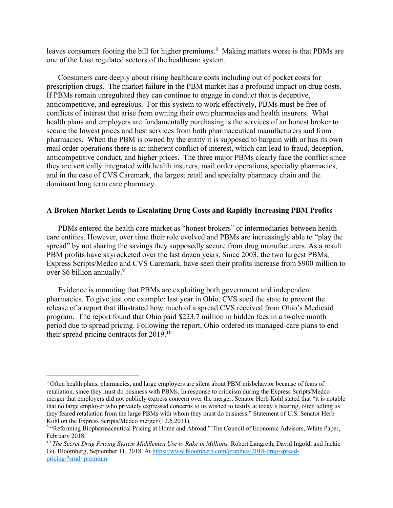leaves consumers footing the bill for higher premiums.<sup>8</sup> Making matters worse is that PBMs are one of the least regulated sectors of the healthcare system.

Consumers care deeply about rising healthcare costs including out of pocket costs for prescription drugs. The market failure in the PBM market has a profound impact on drug costs. If PBMs remain unregulated they can continue to engage in conduct that is deceptive, anticompetitive, and egregious. For this system to work effectively, PBMs must be free of conflicts of interest that arise from owning their own pharmacies and health insurers. What health plans and employers are fundamentally purchasing is the services of an honest broker to secure the lowest prices and best services from both pharmaceutical manufacturers and from pharmacies. When the PBM is owned by the entity it is supposed to bargain with or has its own mail order operations there is an inherent conflict of interest, which can lead to fraud, deception, anticompetitive conduct, and higher prices. The three major PBMs clearly face the conflict since they are vertically integrated with health insurers, mail order operations, specialty pharmacies, and in the case of CVS Caremark, the largest retail and specialty pharmacy chain and the dominant long term care pharmacy.

#### **A Broken Market Leads to Escalating Drug Costs and Rapidly Increasing PBM Profits**

PBMs entered the health care market as "honest brokers" or intermediaries between health care entities. However, over time their role evolved and PBMs are increasingly able to "play the spread" by not sharing the savings they supposedly secure from drug manufacturers. As a result PBM profits have skyrocketed over the last dozen years. Since 2003, the two largest PBMs, Express Scripts/Medco and CVS Caremark, have seen their profits increase from \$900 million to over \$6 billion annually.<sup>9</sup>

Evidence is mounting that PBMs are exploiting both government and independent pharmacies. To give just one example: last year in Ohio, CVS sued the state to prevent the release of a report that illustrated how much of a spread CVS received from Ohio's Medicaid program. The report found that Ohio paid \$223.7 million in hidden fees in a twelve month period due to spread pricing. Following the report, Ohio ordered its managed-care plans to end their spread pricing contracts for 2019.10

 <sup>8</sup> Often health plans, pharmacies, and large employers are silent about PBM misbehavior because of fears of retaliation, since they must do business with PBMs. In response to criticism during the Express Scripts/Medco merger that employers did not publicly express concern over the merger, Senator Herb Kohl stated that "it is notable that no large employer who privately expressed concerns to us wished to testify at today's hearing, often telling us they feared retaliation from the large PBMs with whom they must do business." Statement of U.S. Senator Herb Kohl on the Express Scripts/Medco merger (12.6.2011).

<sup>9</sup> "Reforming Biopharmaceutical Pricing at Home and Abroad." The Council of Economic Advisors, White Paper, February 2018.

<sup>&</sup>lt;sup>10</sup> *The Secret Drug Pricing System Middlemen Use to Rake in Millions.* Robert Langreth, David Ingold, and Jackie Gu. Bloomberg, September 11, 2018. At https://www.bloomberg.com/graphics/2018-drug-spreadpricing/?srnd=premium.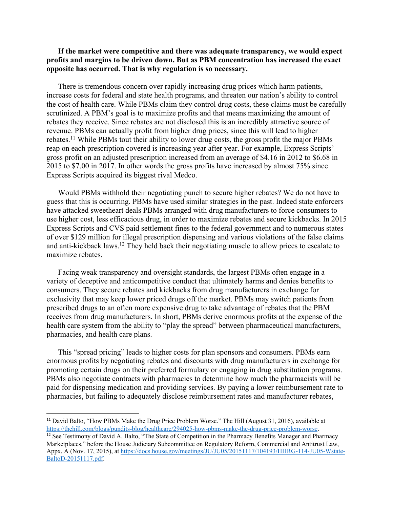#### **If the market were competitive and there was adequate transparency, we would expect profits and margins to be driven down. But as PBM concentration has increased the exact opposite has occurred. That is why regulation is so necessary.**

There is tremendous concern over rapidly increasing drug prices which harm patients, increase costs for federal and state health programs, and threaten our nation's ability to control the cost of health care. While PBMs claim they control drug costs, these claims must be carefully scrutinized. A PBM's goal is to maximize profits and that means maximizing the amount of rebates they receive. Since rebates are not disclosed this is an incredibly attractive source of revenue. PBMs can actually profit from higher drug prices, since this will lead to higher rebates.11 While PBMs tout their ability to lower drug costs, the gross profit the major PBMs reap on each prescription covered is increasing year after year. For example, Express Scripts' gross profit on an adjusted prescription increased from an average of \$4.16 in 2012 to \$6.68 in 2015 to \$7.00 in 2017. In other words the gross profits have increased by almost 75% since Express Scripts acquired its biggest rival Medco.

Would PBMs withhold their negotiating punch to secure higher rebates? We do not have to guess that this is occurring. PBMs have used similar strategies in the past. Indeed state enforcers have attacked sweetheart deals PBMs arranged with drug manufacturers to force consumers to use higher cost, less efficacious drug, in order to maximize rebates and secure kickbacks. In 2015 Express Scripts and CVS paid settlement fines to the federal government and to numerous states of over \$129 million for illegal prescription dispensing and various violations of the false claims and anti-kickback laws.12 They held back their negotiating muscle to allow prices to escalate to maximize rebates.

Facing weak transparency and oversight standards, the largest PBMs often engage in a variety of deceptive and anticompetitive conduct that ultimately harms and denies benefits to consumers. They secure rebates and kickbacks from drug manufacturers in exchange for exclusivity that may keep lower priced drugs off the market. PBMs may switch patients from prescribed drugs to an often more expensive drug to take advantage of rebates that the PBM receives from drug manufacturers. In short, PBMs derive enormous profits at the expense of the health care system from the ability to "play the spread" between pharmaceutical manufacturers, pharmacies, and health care plans.

This "spread pricing" leads to higher costs for plan sponsors and consumers. PBMs earn enormous profits by negotiating rebates and discounts with drug manufacturers in exchange for promoting certain drugs on their preferred formulary or engaging in drug substitution programs. PBMs also negotiate contracts with pharmacies to determine how much the pharmacists will be paid for dispensing medication and providing services. By paying a lower reimbursement rate to pharmacies, but failing to adequately disclose reimbursement rates and manufacturer rebates,

<sup>&</sup>lt;sup>11</sup> David Balto, "How PBMs Make the Drug Price Problem Worse." The Hill (August 31, 2016), available at https://thehill.com/blogs/pundits-blog/healthcare/294025-how-pbms-make-the-drug-price-problem-worse.

<sup>&</sup>lt;sup>12</sup> See Testimony of David A. Balto, "The State of Competition in the Pharmacy Benefits Manager and Pharmacy Marketplaces," before the House Judiciary Subcommittee on Regulatory Reform, Commercial and Antitrust Law, Appx. A (Nov. 17, 2015), at https://docs.house.gov/meetings/JU/JU05/20151117/104193/HHRG-114-JU05-Wstate-BaltoD-20151117.pdf.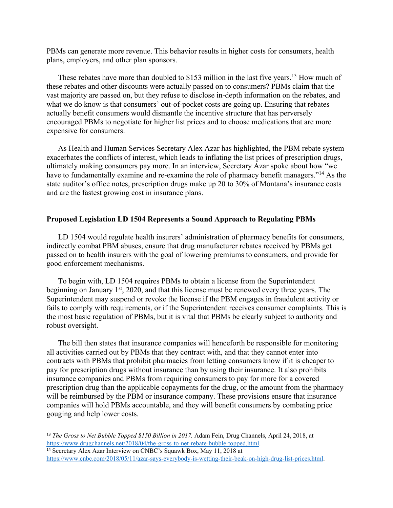PBMs can generate more revenue. This behavior results in higher costs for consumers, health plans, employers, and other plan sponsors.

These rebates have more than doubled to \$153 million in the last five years.<sup>13</sup> How much of these rebates and other discounts were actually passed on to consumers? PBMs claim that the vast majority are passed on, but they refuse to disclose in-depth information on the rebates, and what we do know is that consumers' out-of-pocket costs are going up. Ensuring that rebates actually benefit consumers would dismantle the incentive structure that has perversely encouraged PBMs to negotiate for higher list prices and to choose medications that are more expensive for consumers.

As Health and Human Services Secretary Alex Azar has highlighted, the PBM rebate system exacerbates the conflicts of interest, which leads to inflating the list prices of prescription drugs, ultimately making consumers pay more. In an interview, Secretary Azar spoke about how "we have to fundamentally examine and re-examine the role of pharmacy benefit managers."<sup>14</sup> As the state auditor's office notes, prescription drugs make up 20 to 30% of Montana's insurance costs and are the fastest growing cost in insurance plans.

#### **Proposed Legislation LD 1504 Represents a Sound Approach to Regulating PBMs**

LD 1504 would regulate health insurers' administration of pharmacy benefits for consumers, indirectly combat PBM abuses, ensure that drug manufacturer rebates received by PBMs get passed on to health insurers with the goal of lowering premiums to consumers, and provide for good enforcement mechanisms.

To begin with, LD 1504 requires PBMs to obtain a license from the Superintendent beginning on January  $1<sup>st</sup>$ , 2020, and that this license must be renewed every three years. The Superintendent may suspend or revoke the license if the PBM engages in fraudulent activity or fails to comply with requirements, or if the Superintendent receives consumer complaints. This is the most basic regulation of PBMs, but it is vital that PBMs be clearly subject to authority and robust oversight.

The bill then states that insurance companies will henceforth be responsible for monitoring all activities carried out by PBMs that they contract with, and that they cannot enter into contracts with PBMs that prohibit pharmacies from letting consumers know if it is cheaper to pay for prescription drugs without insurance than by using their insurance. It also prohibits insurance companies and PBMs from requiring consumers to pay for more for a covered prescription drug than the applicable copayments for the drug, or the amount from the pharmacy will be reimbursed by the PBM or insurance company. These provisions ensure that insurance companies will hold PBMs accountable, and they will benefit consumers by combating price gouging and help lower costs.

 <sup>13</sup> *The Gross to Net Bubble Topped \$150 Billion in 2017.* Adam Fein, Drug Channels, April 24, 2018, at https://www.drugchannels.net/2018/04/the-gross-to-net-rebate-bubble-topped.html.

<sup>&</sup>lt;sup>14</sup> Secretary Alex Azar Interview on CNBC's Squawk Box, May 11, 2018 at https://www.cnbc.com/2018/05/11/azar-says-everybody-is-wetting-their-beak-on-high-drug-list-prices.html.